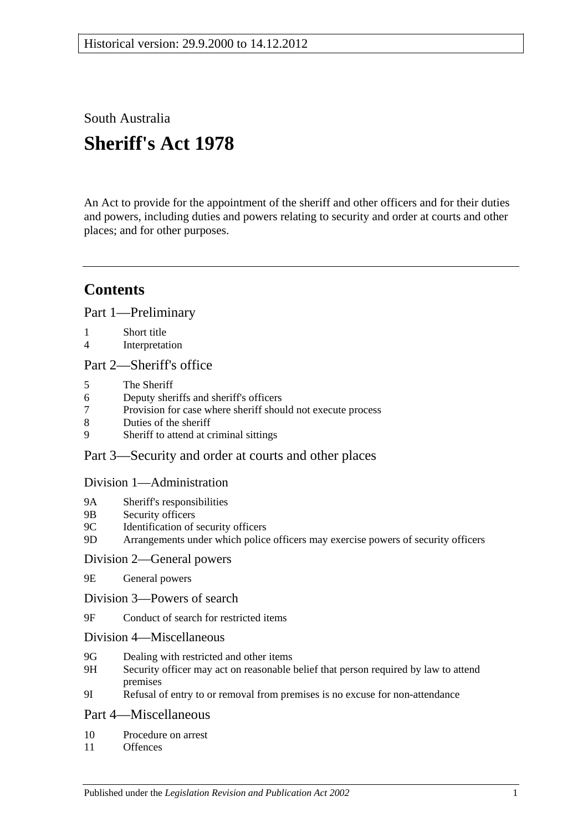South Australia

# **Sheriff's Act 1978**

An Act to provide for the appointment of the sheriff and other officers and for their duties and powers, including duties and powers relating to security and order at courts and other places; and for other purposes.

## **Contents**

[Part 1—Preliminary](#page-1-0)

- 1 [Short title](#page-1-1)
- 4 [Interpretation](#page-1-2)

#### [Part 2—Sheriff's office](#page-2-0)

- 5 [The Sheriff](#page-2-1)
- 6 [Deputy sheriffs and sheriff's officers](#page-2-2)
- 7 Provision for case [where sheriff should not execute process](#page-3-0)
- 8 [Duties of the sheriff](#page-3-1)
- 9 [Sheriff to attend at criminal sittings](#page-3-2)

### [Part 3—Security and order at courts and other places](#page-4-0)

#### [Division 1—Administration](#page-4-1)

- 9A [Sheriff's responsibilities](#page-4-2)
- 9B [Security officers](#page-4-3)
- 9C [Identification of security officers](#page-4-4)
- 9D [Arrangements under which police officers may exercise powers of security officers](#page-5-0)

#### [Division 2—General powers](#page-5-1)

- 9E [General powers](#page-5-2)
- [Division 3—Powers of search](#page-6-0)
- 9F [Conduct of search for restricted items](#page-6-1)
- [Division 4—Miscellaneous](#page-8-0)
- 9G [Dealing with restricted and other items](#page-8-1)
- 9H [Security officer may act on reasonable belief that person required by law to attend](#page-9-0)  [premises](#page-9-0)
- 9I [Refusal of entry to or removal from premises is no excuse for non-attendance](#page-9-1)

#### [Part 4—Miscellaneous](#page-9-2)

- 10 [Procedure on arrest](#page-9-3)
- 11 [Offences](#page-9-4)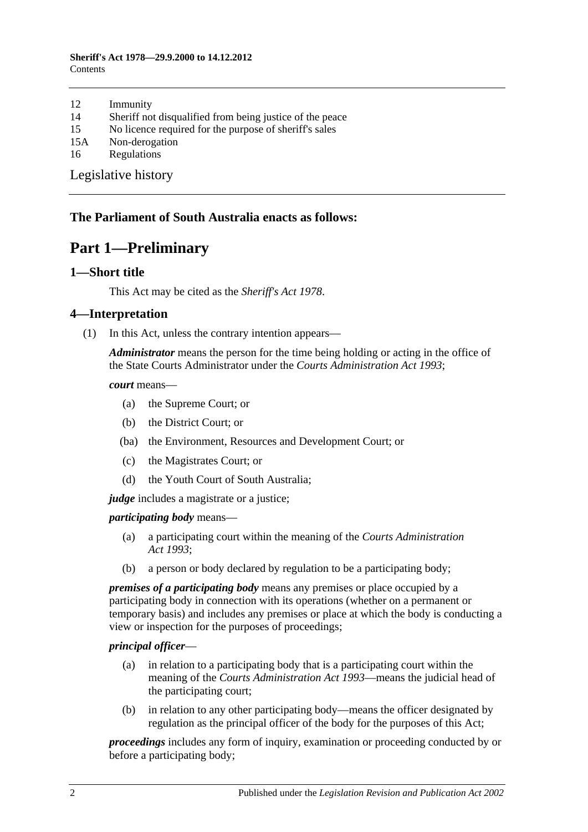- 12 [Immunity](#page-10-0)
- 14 [Sheriff not disqualified from being justice of the peace](#page-10-1)
- 15 [No licence required for the purpose of sheriff's sales](#page-10-2)
- 15A [Non-derogation](#page-10-3)
- 16 [Regulations](#page-10-4)

[Legislative history](#page-12-0)

### <span id="page-1-0"></span>**The Parliament of South Australia enacts as follows:**

## **Part 1—Preliminary**

#### <span id="page-1-1"></span>**1—Short title**

This Act may be cited as the *Sheriff's Act 1978*.

#### <span id="page-1-2"></span>**4—Interpretation**

(1) In this Act, unless the contrary intention appears—

*Administrator* means the person for the time being holding or acting in the office of the State Courts Administrator under the *[Courts Administration Act](http://www.legislation.sa.gov.au/index.aspx?action=legref&type=act&legtitle=Courts%20Administration%20Act%201993) 1993*;

*court* means—

- (a) the Supreme Court; or
- (b) the District Court; or
- (ba) the Environment, Resources and Development Court; or
- (c) the Magistrates Court; or
- (d) the Youth Court of South Australia;

*judge* includes a magistrate or a justice;

*participating body* means—

- (a) a participating court within the meaning of the *[Courts Administration](http://www.legislation.sa.gov.au/index.aspx?action=legref&type=act&legtitle=Courts%20Administration%20Act%201993)  Act [1993](http://www.legislation.sa.gov.au/index.aspx?action=legref&type=act&legtitle=Courts%20Administration%20Act%201993)*;
- (b) a person or body declared by regulation to be a participating body;

*premises of a participating body* means any premises or place occupied by a participating body in connection with its operations (whether on a permanent or temporary basis) and includes any premises or place at which the body is conducting a view or inspection for the purposes of proceedings;

#### *principal officer*—

- (a) in relation to a participating body that is a participating court within the meaning of the *[Courts Administration Act](http://www.legislation.sa.gov.au/index.aspx?action=legref&type=act&legtitle=Courts%20Administration%20Act%201993) 1993*—means the judicial head of the participating court;
- (b) in relation to any other participating body—means the officer designated by regulation as the principal officer of the body for the purposes of this Act;

*proceedings* includes any form of inquiry, examination or proceeding conducted by or before a participating body;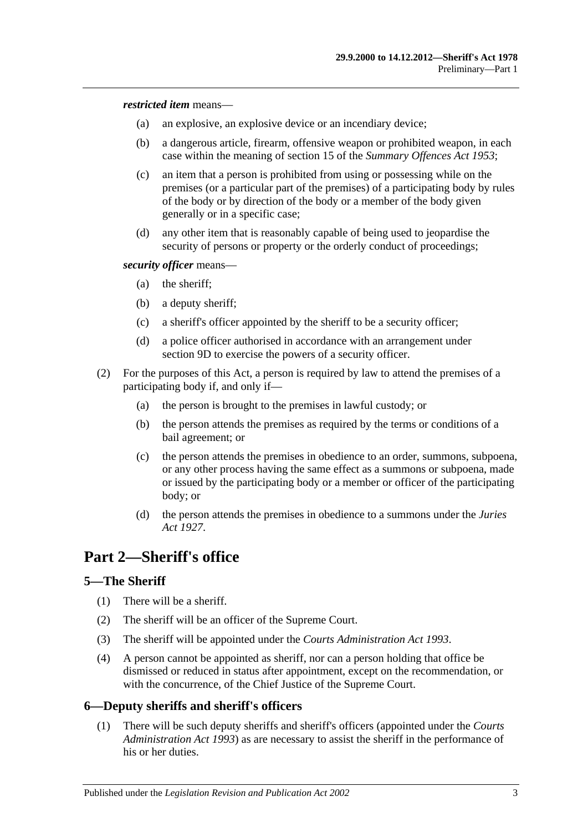*restricted item* means—

- (a) an explosive, an explosive device or an incendiary device;
- (b) a dangerous article, firearm, offensive weapon or prohibited weapon, in each case within the meaning of section 15 of the *[Summary Offences Act](http://www.legislation.sa.gov.au/index.aspx?action=legref&type=act&legtitle=Summary%20Offences%20Act%201953) 1953*;
- (c) an item that a person is prohibited from using or possessing while on the premises (or a particular part of the premises) of a participating body by rules of the body or by direction of the body or a member of the body given generally or in a specific case;
- (d) any other item that is reasonably capable of being used to jeopardise the security of persons or property or the orderly conduct of proceedings;

#### *security officer* means—

- (a) the sheriff;
- (b) a deputy sheriff;
- (c) a sheriff's officer appointed by the sheriff to be a security officer;
- (d) a police officer authorised in accordance with an arrangement under [section](#page-5-0) 9D to exercise the powers of a security officer.
- (2) For the purposes of this Act, a person is required by law to attend the premises of a participating body if, and only if—
	- (a) the person is brought to the premises in lawful custody; or
	- (b) the person attends the premises as required by the terms or conditions of a bail agreement; or
	- (c) the person attends the premises in obedience to an order, summons, subpoena, or any other process having the same effect as a summons or subpoena, made or issued by the participating body or a member or officer of the participating body; or
	- (d) the person attends the premises in obedience to a summons under the *[Juries](http://www.legislation.sa.gov.au/index.aspx?action=legref&type=act&legtitle=Juries%20Act%201927)  Act [1927](http://www.legislation.sa.gov.au/index.aspx?action=legref&type=act&legtitle=Juries%20Act%201927)*.

## <span id="page-2-0"></span>**Part 2—Sheriff's office**

### <span id="page-2-1"></span>**5—The Sheriff**

- (1) There will be a sheriff.
- (2) The sheriff will be an officer of the Supreme Court.
- (3) The sheriff will be appointed under the *[Courts Administration Act](http://www.legislation.sa.gov.au/index.aspx?action=legref&type=act&legtitle=Courts%20Administration%20Act%201993) 1993*.
- (4) A person cannot be appointed as sheriff, nor can a person holding that office be dismissed or reduced in status after appointment, except on the recommendation, or with the concurrence, of the Chief Justice of the Supreme Court.

### <span id="page-2-2"></span>**6—Deputy sheriffs and sheriff's officers**

(1) There will be such deputy sheriffs and sheriff's officers (appointed under the *[Courts](http://www.legislation.sa.gov.au/index.aspx?action=legref&type=act&legtitle=Courts%20Administration%20Act%201993)  [Administration Act](http://www.legislation.sa.gov.au/index.aspx?action=legref&type=act&legtitle=Courts%20Administration%20Act%201993) 1993*) as are necessary to assist the sheriff in the performance of his or her duties.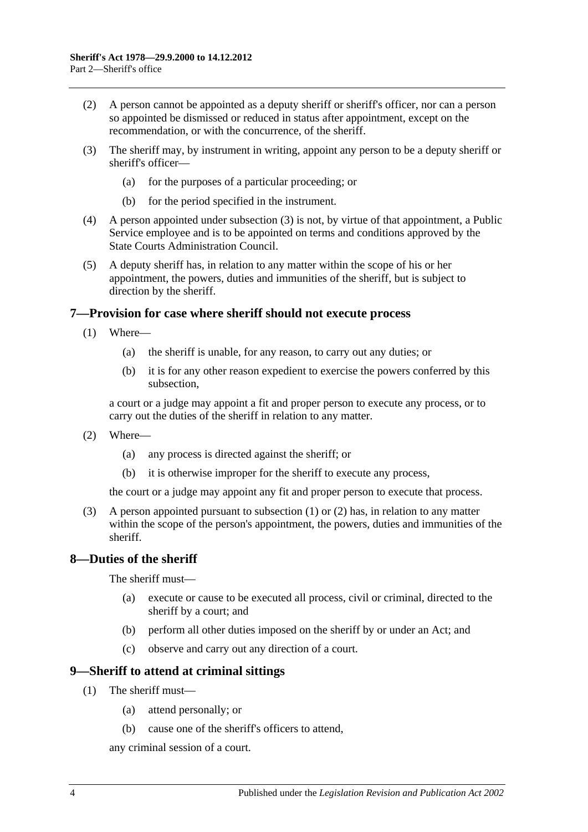- (2) A person cannot be appointed as a deputy sheriff or sheriff's officer, nor can a person so appointed be dismissed or reduced in status after appointment, except on the recommendation, or with the concurrence, of the sheriff.
- <span id="page-3-3"></span>(3) The sheriff may, by instrument in writing, appoint any person to be a deputy sheriff or sheriff's officer—
	- (a) for the purposes of a particular proceeding; or
	- (b) for the period specified in the instrument.
- (4) A person appointed under [subsection](#page-3-3) (3) is not, by virtue of that appointment, a Public Service employee and is to be appointed on terms and conditions approved by the State Courts Administration Council.
- (5) A deputy sheriff has, in relation to any matter within the scope of his or her appointment, the powers, duties and immunities of the sheriff, but is subject to direction by the sheriff.

#### <span id="page-3-4"></span><span id="page-3-0"></span>**7—Provision for case where sheriff should not execute process**

- (1) Where—
	- (a) the sheriff is unable, for any reason, to carry out any duties; or
	- (b) it is for any other reason expedient to exercise the powers conferred by this subsection,

a court or a judge may appoint a fit and proper person to execute any process, or to carry out the duties of the sheriff in relation to any matter.

- <span id="page-3-5"></span>(2) Where—
	- (a) any process is directed against the sheriff; or
	- (b) it is otherwise improper for the sheriff to execute any process,

the court or a judge may appoint any fit and proper person to execute that process.

(3) A person appointed pursuant to [subsection](#page-3-4) (1) or [\(2\)](#page-3-5) has, in relation to any matter within the scope of the person's appointment, the powers, duties and immunities of the sheriff.

### <span id="page-3-1"></span>**8—Duties of the sheriff**

The sheriff must—

- (a) execute or cause to be executed all process, civil or criminal, directed to the sheriff by a court; and
- (b) perform all other duties imposed on the sheriff by or under an Act; and
- (c) observe and carry out any direction of a court.

#### <span id="page-3-2"></span>**9—Sheriff to attend at criminal sittings**

- (1) The sheriff must—
	- (a) attend personally; or
	- (b) cause one of the sheriff's officers to attend,

any criminal session of a court.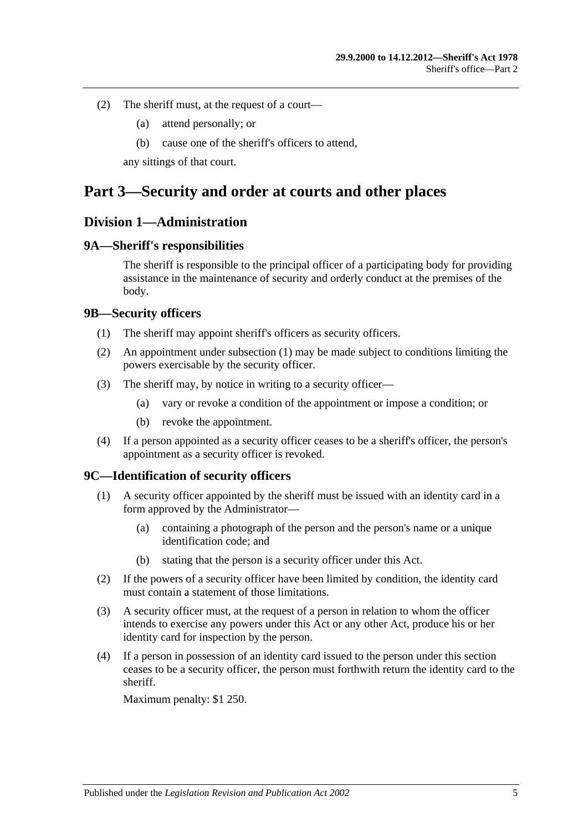- (2) The sheriff must, at the request of a court—
	- (a) attend personally; or
	- (b) cause one of the sheriff's officers to attend,

any sittings of that court.

## <span id="page-4-0"></span>**Part 3—Security and order at courts and other places**

### <span id="page-4-1"></span>**Division 1—Administration**

#### <span id="page-4-2"></span>**9A—Sheriff's responsibilities**

The sheriff is responsible to the principal officer of a participating body for providing assistance in the maintenance of security and orderly conduct at the premises of the body.

#### <span id="page-4-5"></span><span id="page-4-3"></span>**9B—Security officers**

- (1) The sheriff may appoint sheriff's officers as security officers.
- (2) An appointment under [subsection](#page-4-5) (1) may be made subject to conditions limiting the powers exercisable by the security officer.
- (3) The sheriff may, by notice in writing to a security officer—
	- (a) vary or revoke a condition of the appointment or impose a condition; or
	- (b) revoke the appointment.
- (4) If a person appointed as a security officer ceases to be a sheriff's officer, the person's appointment as a security officer is revoked.

#### <span id="page-4-4"></span>**9C—Identification of security officers**

- (1) A security officer appointed by the sheriff must be issued with an identity card in a form approved by the Administrator—
	- (a) containing a photograph of the person and the person's name or a unique identification code; and
	- (b) stating that the person is a security officer under this Act.
- (2) If the powers of a security officer have been limited by condition, the identity card must contain a statement of those limitations.
- (3) A security officer must, at the request of a person in relation to whom the officer intends to exercise any powers under this Act or any other Act, produce his or her identity card for inspection by the person.
- (4) If a person in possession of an identity card issued to the person under this section ceases to be a security officer, the person must forthwith return the identity card to the sheriff.

Maximum penalty: \$1 250.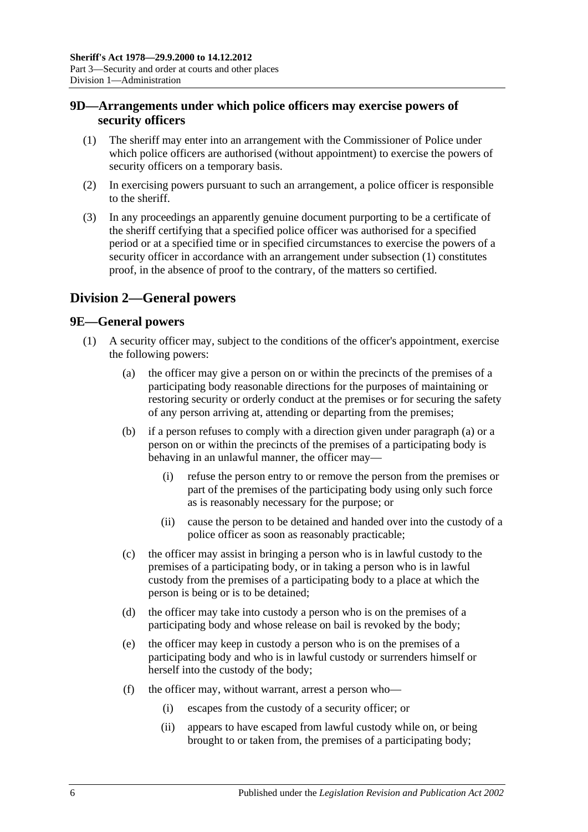## <span id="page-5-0"></span>**9D—Arrangements under which police officers may exercise powers of security officers**

- <span id="page-5-3"></span>(1) The sheriff may enter into an arrangement with the Commissioner of Police under which police officers are authorised (without appointment) to exercise the powers of security officers on a temporary basis.
- (2) In exercising powers pursuant to such an arrangement, a police officer is responsible to the sheriff.
- (3) In any proceedings an apparently genuine document purporting to be a certificate of the sheriff certifying that a specified police officer was authorised for a specified period or at a specified time or in specified circumstances to exercise the powers of a security officer in accordance with an arrangement under [subsection](#page-5-3) (1) constitutes proof, in the absence of proof to the contrary, of the matters so certified.

## <span id="page-5-1"></span>**Division 2—General powers**

### <span id="page-5-2"></span>**9E—General powers**

- <span id="page-5-4"></span>(1) A security officer may, subject to the conditions of the officer's appointment, exercise the following powers:
	- (a) the officer may give a person on or within the precincts of the premises of a participating body reasonable directions for the purposes of maintaining or restoring security or orderly conduct at the premises or for securing the safety of any person arriving at, attending or departing from the premises;
	- (b) if a person refuses to comply with a direction given under [paragraph](#page-5-4) (a) or a person on or within the precincts of the premises of a participating body is behaving in an unlawful manner, the officer may—
		- (i) refuse the person entry to or remove the person from the premises or part of the premises of the participating body using only such force as is reasonably necessary for the purpose; or
		- (ii) cause the person to be detained and handed over into the custody of a police officer as soon as reasonably practicable;
	- (c) the officer may assist in bringing a person who is in lawful custody to the premises of a participating body, or in taking a person who is in lawful custody from the premises of a participating body to a place at which the person is being or is to be detained;
	- (d) the officer may take into custody a person who is on the premises of a participating body and whose release on bail is revoked by the body;
	- (e) the officer may keep in custody a person who is on the premises of a participating body and who is in lawful custody or surrenders himself or herself into the custody of the body;
	- (f) the officer may, without warrant, arrest a person who—
		- (i) escapes from the custody of a security officer; or
		- (ii) appears to have escaped from lawful custody while on, or being brought to or taken from, the premises of a participating body;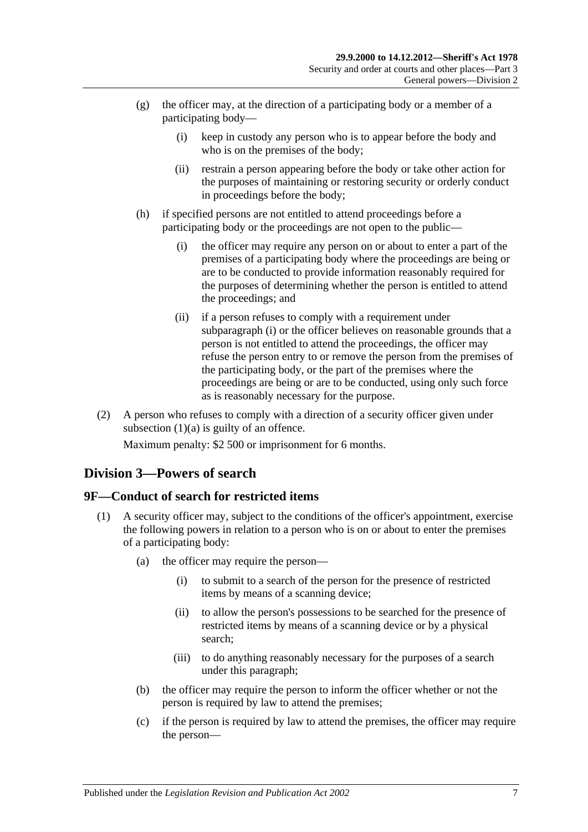- (g) the officer may, at the direction of a participating body or a member of a participating body—
	- (i) keep in custody any person who is to appear before the body and who is on the premises of the body;
	- (ii) restrain a person appearing before the body or take other action for the purposes of maintaining or restoring security or orderly conduct in proceedings before the body;
- <span id="page-6-2"></span>(h) if specified persons are not entitled to attend proceedings before a participating body or the proceedings are not open to the public—
	- (i) the officer may require any person on or about to enter a part of the premises of a participating body where the proceedings are being or are to be conducted to provide information reasonably required for the purposes of determining whether the person is entitled to attend the proceedings; and
	- (ii) if a person refuses to comply with a requirement under [subparagraph](#page-6-2) (i) or the officer believes on reasonable grounds that a person is not entitled to attend the proceedings, the officer may refuse the person entry to or remove the person from the premises of the participating body, or the part of the premises where the proceedings are being or are to be conducted, using only such force as is reasonably necessary for the purpose.
- (2) A person who refuses to comply with a direction of a security officer given under [subsection](#page-5-4)  $(1)(a)$  is guilty of an offence.

Maximum penalty: \$2 500 or imprisonment for 6 months.

## <span id="page-6-0"></span>**Division 3—Powers of search**

### <span id="page-6-4"></span><span id="page-6-1"></span>**9F—Conduct of search for restricted items**

- <span id="page-6-6"></span><span id="page-6-5"></span><span id="page-6-3"></span>(1) A security officer may, subject to the conditions of the officer's appointment, exercise the following powers in relation to a person who is on or about to enter the premises of a participating body:
	- (a) the officer may require the person—
		- (i) to submit to a search of the person for the presence of restricted items by means of a scanning device;
		- (ii) to allow the person's possessions to be searched for the presence of restricted items by means of a scanning device or by a physical search;
		- (iii) to do anything reasonably necessary for the purposes of a search under this paragraph;
	- (b) the officer may require the person to inform the officer whether or not the person is required by law to attend the premises;
	- (c) if the person is required by law to attend the premises, the officer may require the person—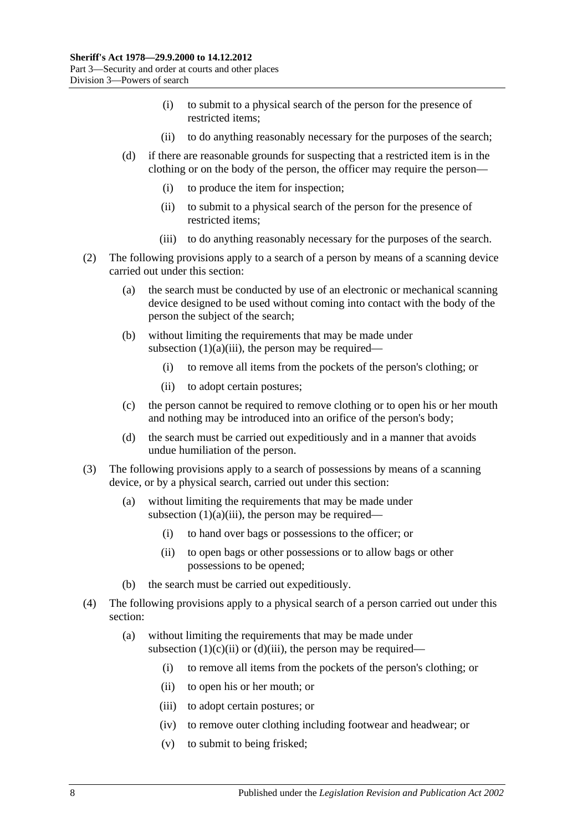- (i) to submit to a physical search of the person for the presence of restricted items;
- (ii) to do anything reasonably necessary for the purposes of the search;
- <span id="page-7-0"></span>(d) if there are reasonable grounds for suspecting that a restricted item is in the clothing or on the body of the person, the officer may require the person—
	- (i) to produce the item for inspection;
	- (ii) to submit to a physical search of the person for the presence of restricted items;
	- (iii) to do anything reasonably necessary for the purposes of the search.
- <span id="page-7-1"></span>(2) The following provisions apply to a search of a person by means of a scanning device carried out under this section:
	- (a) the search must be conducted by use of an electronic or mechanical scanning device designed to be used without coming into contact with the body of the person the subject of the search;
	- (b) without limiting the requirements that may be made under [subsection](#page-6-3)  $(1)(a)(iii)$ , the person may be required—
		- (i) to remove all items from the pockets of the person's clothing; or
		- (ii) to adopt certain postures;
	- (c) the person cannot be required to remove clothing or to open his or her mouth and nothing may be introduced into an orifice of the person's body;
	- (d) the search must be carried out expeditiously and in a manner that avoids undue humiliation of the person.
- (3) The following provisions apply to a search of possessions by means of a scanning device, or by a physical search, carried out under this section:
	- (a) without limiting the requirements that may be made under [subsection](#page-6-3)  $(1)(a)(iii)$ , the person may be required—
		- (i) to hand over bags or possessions to the officer; or
		- (ii) to open bags or other possessions or to allow bags or other possessions to be opened;
	- (b) the search must be carried out expeditiously.
- (4) The following provisions apply to a physical search of a person carried out under this section:
	- (a) without limiting the requirements that may be made under [subsection](#page-7-0)  $(1)(c)(ii)$  or  $(d)(iii)$ , the person may be required—
		- (i) to remove all items from the pockets of the person's clothing; or
		- (ii) to open his or her mouth; or
		- (iii) to adopt certain postures; or
		- (iv) to remove outer clothing including footwear and headwear; or
		- (v) to submit to being frisked;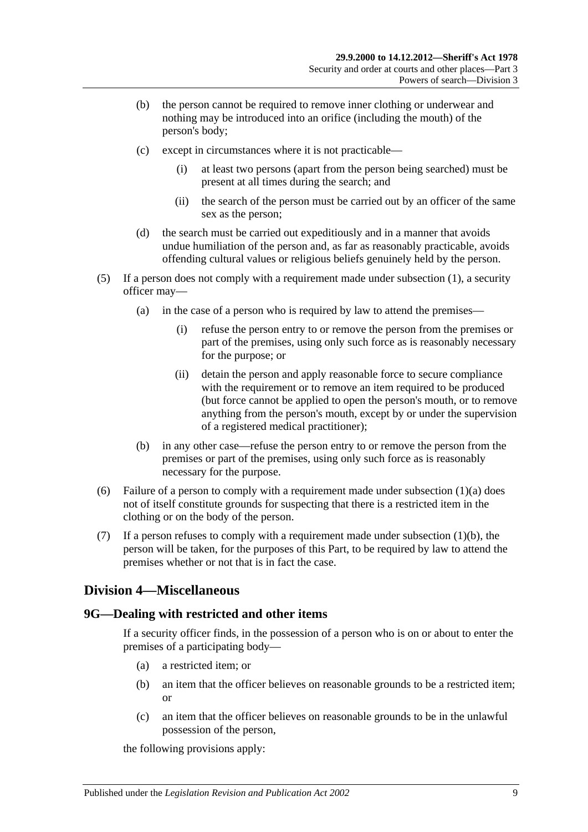- (b) the person cannot be required to remove inner clothing or underwear and nothing may be introduced into an orifice (including the mouth) of the person's body;
- (c) except in circumstances where it is not practicable—
	- (i) at least two persons (apart from the person being searched) must be present at all times during the search; and
	- (ii) the search of the person must be carried out by an officer of the same sex as the person;
- (d) the search must be carried out expeditiously and in a manner that avoids undue humiliation of the person and, as far as reasonably practicable, avoids offending cultural values or religious beliefs genuinely held by the person.
- (5) If a person does not comply with a requirement made under [subsection](#page-6-4) (1), a security officer may—
	- (a) in the case of a person who is required by law to attend the premises—
		- (i) refuse the person entry to or remove the person from the premises or part of the premises, using only such force as is reasonably necessary for the purpose; or
		- (ii) detain the person and apply reasonable force to secure compliance with the requirement or to remove an item required to be produced (but force cannot be applied to open the person's mouth, or to remove anything from the person's mouth, except by or under the supervision of a registered medical practitioner);
	- (b) in any other case—refuse the person entry to or remove the person from the premises or part of the premises, using only such force as is reasonably necessary for the purpose.
- (6) Failure of a person to comply with a requirement made under [subsection](#page-6-5)  $(1)(a)$  does not of itself constitute grounds for suspecting that there is a restricted item in the clothing or on the body of the person.
- (7) If a person refuses to comply with a requirement made under [subsection](#page-6-6)  $(1)(b)$ , the person will be taken, for the purposes of this Part, to be required by law to attend the premises whether or not that is in fact the case.

## <span id="page-8-0"></span>**Division 4—Miscellaneous**

## <span id="page-8-3"></span><span id="page-8-1"></span>**9G—Dealing with restricted and other items**

If a security officer finds, in the possession of a person who is on or about to enter the premises of a participating body—

- (a) a restricted item; or
- <span id="page-8-4"></span>(b) an item that the officer believes on reasonable grounds to be a restricted item; or
- <span id="page-8-2"></span>(c) an item that the officer believes on reasonable grounds to be in the unlawful possession of the person,

the following provisions apply: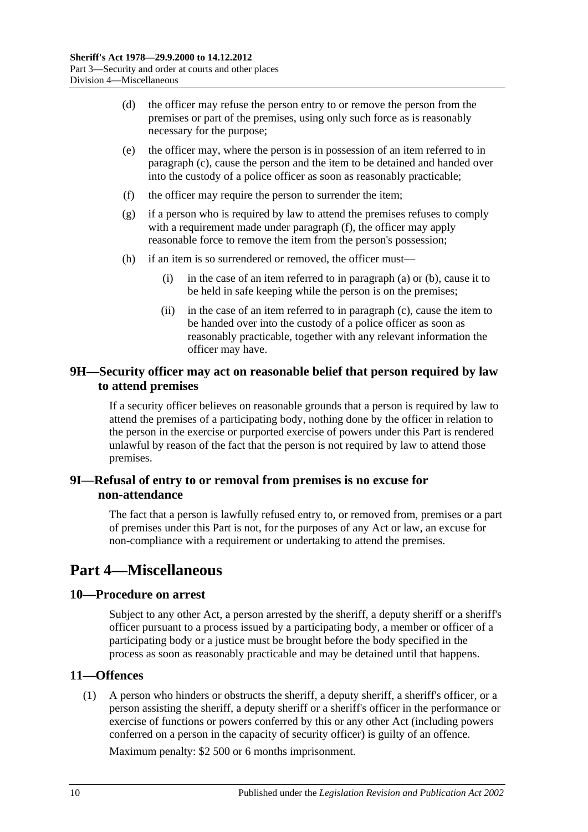- (d) the officer may refuse the person entry to or remove the person from the premises or part of the premises, using only such force as is reasonably necessary for the purpose;
- (e) the officer may, where the person is in possession of an item referred to in [paragraph](#page-8-2) (c), cause the person and the item to be detained and handed over into the custody of a police officer as soon as reasonably practicable;
- <span id="page-9-5"></span>(f) the officer may require the person to surrender the item;
- (g) if a person who is required by law to attend the premises refuses to comply with a requirement made under [paragraph](#page-9-5) (f), the officer may apply reasonable force to remove the item from the person's possession;
- (h) if an item is so surrendered or removed, the officer must—
	- (i) in the case of an item referred to in [paragraph](#page-8-3) (a) or [\(b\),](#page-8-4) cause it to be held in safe keeping while the person is on the premises;
	- (ii) in the case of an item referred to in [paragraph](#page-8-2) (c), cause the item to be handed over into the custody of a police officer as soon as reasonably practicable, together with any relevant information the officer may have.

### <span id="page-9-0"></span>**9H—Security officer may act on reasonable belief that person required by law to attend premises**

If a security officer believes on reasonable grounds that a person is required by law to attend the premises of a participating body, nothing done by the officer in relation to the person in the exercise or purported exercise of powers under this Part is rendered unlawful by reason of the fact that the person is not required by law to attend those premises.

### <span id="page-9-1"></span>**9I—Refusal of entry to or removal from premises is no excuse for non-attendance**

The fact that a person is lawfully refused entry to, or removed from, premises or a part of premises under this Part is not, for the purposes of any Act or law, an excuse for non-compliance with a requirement or undertaking to attend the premises.

## <span id="page-9-2"></span>**Part 4—Miscellaneous**

### <span id="page-9-3"></span>**10—Procedure on arrest**

Subject to any other Act, a person arrested by the sheriff, a deputy sheriff or a sheriff's officer pursuant to a process issued by a participating body, a member or officer of a participating body or a justice must be brought before the body specified in the process as soon as reasonably practicable and may be detained until that happens.

## <span id="page-9-6"></span><span id="page-9-4"></span>**11—Offences**

(1) A person who hinders or obstructs the sheriff, a deputy sheriff, a sheriff's officer, or a person assisting the sheriff, a deputy sheriff or a sheriff's officer in the performance or exercise of functions or powers conferred by this or any other Act (including powers conferred on a person in the capacity of security officer) is guilty of an offence.

Maximum penalty: \$2 500 or 6 months imprisonment.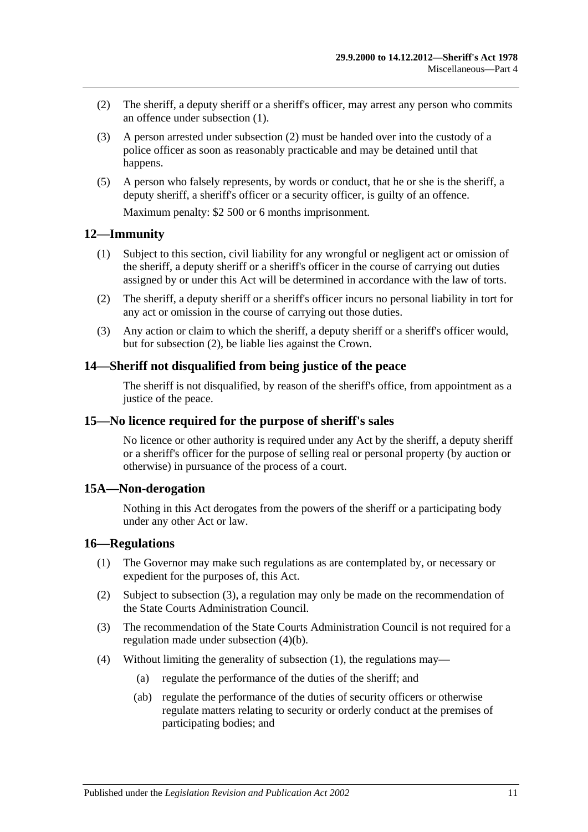- <span id="page-10-5"></span>(2) The sheriff, a deputy sheriff or a sheriff's officer, may arrest any person who commits an offence under [subsection](#page-9-6) (1).
- (3) A person arrested under [subsection](#page-10-5) (2) must be handed over into the custody of a police officer as soon as reasonably practicable and may be detained until that happens.
- (5) A person who falsely represents, by words or conduct, that he or she is the sheriff, a deputy sheriff, a sheriff's officer or a security officer, is guilty of an offence.

Maximum penalty: \$2 500 or 6 months imprisonment.

#### <span id="page-10-0"></span>**12—Immunity**

- (1) Subject to this section, civil liability for any wrongful or negligent act or omission of the sheriff, a deputy sheriff or a sheriff's officer in the course of carrying out duties assigned by or under this Act will be determined in accordance with the law of torts.
- <span id="page-10-6"></span>(2) The sheriff, a deputy sheriff or a sheriff's officer incurs no personal liability in tort for any act or omission in the course of carrying out those duties.
- (3) Any action or claim to which the sheriff, a deputy sheriff or a sheriff's officer would, but for [subsection](#page-10-6) (2), be liable lies against the Crown.

### <span id="page-10-1"></span>**14—Sheriff not disqualified from being justice of the peace**

The sheriff is not disqualified, by reason of the sheriff's office, from appointment as a justice of the peace.

#### <span id="page-10-2"></span>**15—No licence required for the purpose of sheriff's sales**

No licence or other authority is required under any Act by the sheriff, a deputy sheriff or a sheriff's officer for the purpose of selling real or personal property (by auction or otherwise) in pursuance of the process of a court.

#### <span id="page-10-3"></span>**15A—Non-derogation**

Nothing in this Act derogates from the powers of the sheriff or a participating body under any other Act or law.

#### <span id="page-10-8"></span><span id="page-10-4"></span>**16—Regulations**

- (1) The Governor may make such regulations as are contemplated by, or necessary or expedient for the purposes of, this Act.
- (2) Subject to [subsection](#page-10-7) (3), a regulation may only be made on the recommendation of the State Courts Administration Council.
- <span id="page-10-7"></span>(3) The recommendation of the State Courts Administration Council is not required for a regulation made under [subsection](#page-11-0) (4)(b).
- (4) Without limiting the generality of [subsection](#page-10-8) (1), the regulations may—
	- (a) regulate the performance of the duties of the sheriff; and
	- (ab) regulate the performance of the duties of security officers or otherwise regulate matters relating to security or orderly conduct at the premises of participating bodies; and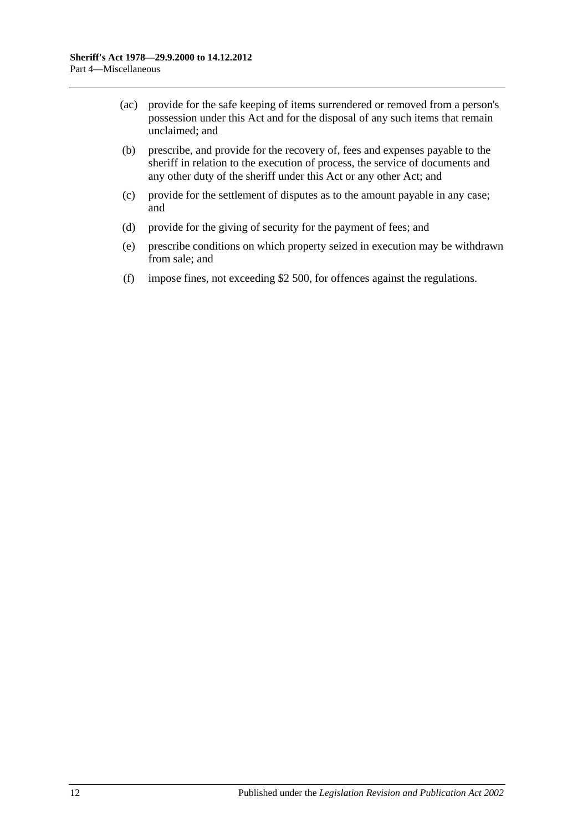- (ac) provide for the safe keeping of items surrendered or removed from a person's possession under this Act and for the disposal of any such items that remain unclaimed; and
- <span id="page-11-0"></span>(b) prescribe, and provide for the recovery of, fees and expenses payable to the sheriff in relation to the execution of process, the service of documents and any other duty of the sheriff under this Act or any other Act; and
- (c) provide for the settlement of disputes as to the amount payable in any case; and
- (d) provide for the giving of security for the payment of fees; and
- (e) prescribe conditions on which property seized in execution may be withdrawn from sale; and
- (f) impose fines, not exceeding \$2 500, for offences against the regulations.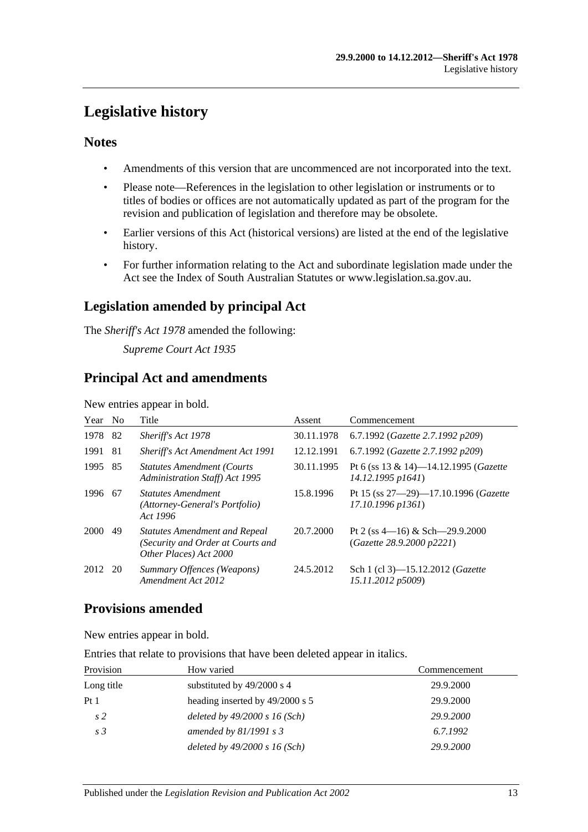## <span id="page-12-0"></span>**Legislative history**

## **Notes**

- Amendments of this version that are uncommenced are not incorporated into the text.
- Please note—References in the legislation to other legislation or instruments or to titles of bodies or offices are not automatically updated as part of the program for the revision and publication of legislation and therefore may be obsolete.
- Earlier versions of this Act (historical versions) are listed at the end of the legislative history.
- For further information relating to the Act and subordinate legislation made under the Act see the Index of South Australian Statutes or www.legislation.sa.gov.au.

## **Legislation amended by principal Act**

The *Sheriff's Act 1978* amended the following:

*Supreme Court Act 1935*

## **Principal Act and amendments**

New entries appear in bold.

| Year | N <sub>0</sub> | Title                                                                                               | Assent     | Commencement                                                           |
|------|----------------|-----------------------------------------------------------------------------------------------------|------------|------------------------------------------------------------------------|
| 1978 | -82            | Sheriff's Act 1978                                                                                  | 30.11.1978 | 6.7.1992 (Gazette 2.7.1992 p209)                                       |
| 1991 | 81             | <b>Sheriff's Act Amendment Act 1991</b>                                                             | 12.12.1991 | 6.7.1992 (Gazette 2.7.1992 p209)                                       |
| 1995 | 85             | <b>Statutes Amendment (Courts)</b><br><b>Administration Staff)</b> Act 1995                         | 30.11.1995 | Pt 6 (ss 13 & 14)-14.12.1995 ( <i>Gazette</i><br>14.12.1995 p1641)     |
| 1996 | -67            | <b>Statutes Amendment</b><br>(Attorney-General's Portfolio)<br>Act 1996                             | 15.8.1996  | Pt 15 (ss $27 - 29$ )-17.10.1996 ( <i>Gazette</i><br>17.10.1996 p1361) |
| 2000 | 49             | <b>Statutes Amendment and Repeal</b><br>(Security and Order at Courts and<br>Other Places) Act 2000 | 20.7.2000  | Pt 2 (ss $4-16$ ) & Sch $-29.9.2000$<br>(Gazette 28.9.2000 p2221)      |
| 2012 | -20            | Summary Offences (Weapons)<br>Amendment Act 2012                                                    | 24.5.2012  | Sch 1 (cl 3)-15.12.2012 (Gazette<br>15.11.2012 p5009)                  |

## **Provisions amended**

New entries appear in bold.

Entries that relate to provisions that have been deleted appear in italics.

| Provision       | How varied                      | Commencement |
|-----------------|---------------------------------|--------------|
| Long title      | substituted by $49/2000$ s 4    | 29.9.2000    |
| Pt <sub>1</sub> | heading inserted by 49/2000 s 5 | 29.9.2000    |
| s <sub>2</sub>  | deleted by $49/2000 s 16$ (Sch) | 29.9.2000    |
| s <sub>3</sub>  | amended by $81/1991 s3$         | 6.7.1992     |
|                 | deleted by $49/2000 s 16$ (Sch) | 29.9.2000    |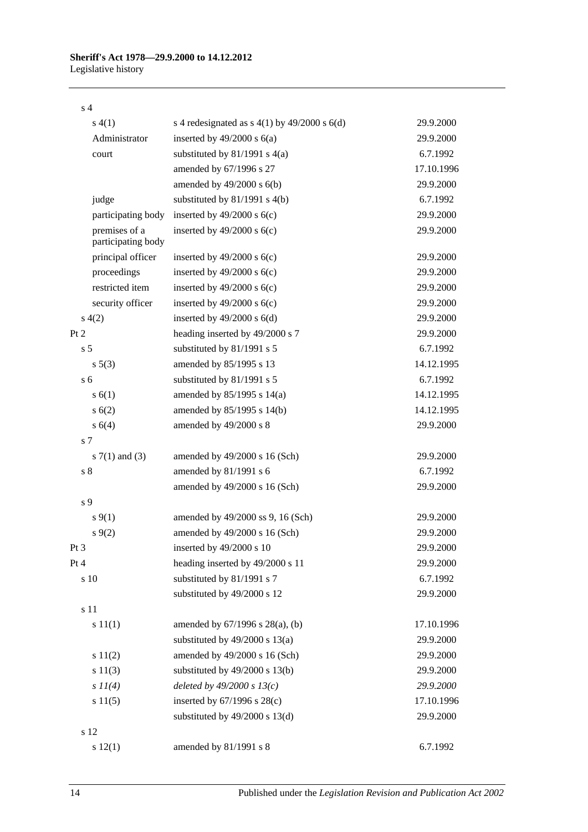#### s 4

|      | s(4(1))                             | s 4 redesignated as $s$ 4(1) by 49/2000 s 6(d) | 29.9.2000  |
|------|-------------------------------------|------------------------------------------------|------------|
|      | Administrator                       | inserted by $49/2000$ s $6(a)$                 | 29.9.2000  |
|      | court                               | substituted by $81/1991$ s $4(a)$              | 6.7.1992   |
|      |                                     | amended by 67/1996 s 27                        | 17.10.1996 |
|      |                                     | amended by $49/2000$ s $6(b)$                  | 29.9.2000  |
|      | judge                               | substituted by $81/1991$ s $4(b)$              | 6.7.1992   |
|      | participating body                  | inserted by $49/2000$ s $6(c)$                 | 29.9.2000  |
|      | premises of a<br>participating body | inserted by $49/2000$ s $6(c)$                 | 29.9.2000  |
|      | principal officer                   | inserted by $49/2000$ s $6(c)$                 | 29.9.2000  |
|      | proceedings                         | inserted by $49/2000$ s $6(c)$                 | 29.9.2000  |
|      | restricted item                     | inserted by $49/2000$ s $6(c)$                 | 29.9.2000  |
|      | security officer                    | inserted by $49/2000$ s $6(c)$                 | 29.9.2000  |
|      | s(4(2)                              | inserted by $49/2000$ s $6(d)$                 | 29.9.2000  |
| Pt 2 |                                     | heading inserted by 49/2000 s 7                | 29.9.2000  |
|      | s <sub>5</sub>                      | substituted by 81/1991 s 5                     | 6.7.1992   |
|      | $s\ 5(3)$                           | amended by 85/1995 s 13                        | 14.12.1995 |
|      | s <sub>6</sub>                      | substituted by 81/1991 s 5                     | 6.7.1992   |
|      | s(6(1))                             | amended by 85/1995 s 14(a)                     | 14.12.1995 |
|      | s(6(2))                             | amended by 85/1995 s 14(b)                     | 14.12.1995 |
|      | s 6(4)                              | amended by 49/2000 s 8                         | 29.9.2000  |
|      | s 7                                 |                                                |            |
|      | s $7(1)$ and $(3)$                  | amended by 49/2000 s 16 (Sch)                  | 29.9.2000  |
|      | s <sub>8</sub>                      | amended by 81/1991 s 6                         | 6.7.1992   |
|      |                                     | amended by 49/2000 s 16 (Sch)                  | 29.9.2000  |
|      | s <sub>9</sub>                      |                                                |            |
|      | $s \, 9(1)$                         | amended by 49/2000 ss 9, 16 (Sch)              | 29.9.2000  |
|      | $s \, 9(2)$                         | amended by 49/2000 s 16 (Sch)                  | 29.9.2000  |
| Pt 3 |                                     | inserted by 49/2000 s 10                       | 29.9.2000  |
| Pt 4 |                                     | heading inserted by 49/2000 s 11               | 29.9.2000  |
|      | s 10                                | substituted by 81/1991 s 7                     | 6.7.1992   |
|      |                                     | substituted by 49/2000 s 12                    | 29.9.2000  |
|      | s 11                                |                                                |            |
|      | s 11(1)                             | amended by $67/1996$ s $28(a)$ , (b)           | 17.10.1996 |
|      |                                     | substituted by $49/2000$ s $13(a)$             | 29.9.2000  |
|      | s 11(2)                             | amended by 49/2000 s 16 (Sch)                  | 29.9.2000  |
|      | s 11(3)                             | substituted by $49/2000$ s $13(b)$             | 29.9.2000  |
|      | $s\,II(4)$                          | deleted by $49/2000 s 13(c)$                   | 29.9.2000  |
|      | s 11(5)                             | inserted by $67/1996$ s $28(c)$                | 17.10.1996 |
|      |                                     | substituted by $49/2000$ s $13(d)$             | 29.9.2000  |
|      | s 12                                |                                                |            |
|      | s 12(1)                             | amended by 81/1991 s 8                         | 6.7.1992   |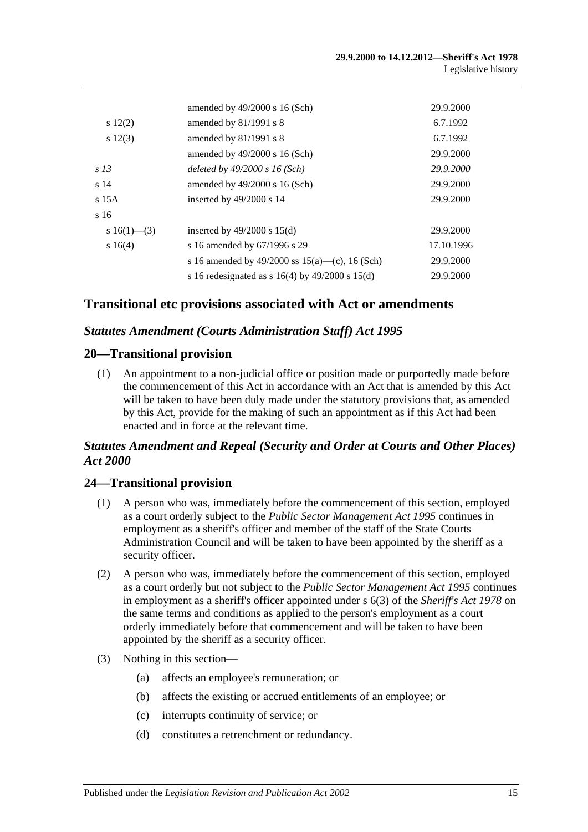|                 | amended by $49/2000$ s 16 (Sch)                       | 29.9.2000  |
|-----------------|-------------------------------------------------------|------------|
| $s\ 12(2)$      | amended by $81/1991$ s 8                              | 6.7.1992   |
| $s\ 12(3)$      | amended by $81/1991$ s 8                              | 6.7.1992   |
|                 | amended by $49/2000$ s 16 (Sch)                       | 29.9.2000  |
| s <sub>13</sub> | deleted by $49/2000 s 16$ (Sch)                       | 29.9.2000  |
| s <sub>14</sub> | amended by $49/2000$ s 16 (Sch)                       | 29.9.2000  |
| $s$ 15A         | inserted by $49/2000$ s 14                            | 29.9.2000  |
| s 16            |                                                       |            |
| s 16(1)–(3)     | inserted by $49/2000$ s $15(d)$                       | 29.9.2000  |
| s16(4)          | s 16 amended by 67/1996 s 29                          | 17.10.1996 |
|                 | s 16 amended by 49/2000 ss $15(a)$ —(c), 16 (Sch)     | 29.9.2000  |
|                 | s 16 redesignated as s $16(4)$ by $49/2000$ s $15(d)$ | 29.9.2000  |

## **Transitional etc provisions associated with Act or amendments**

### *Statutes Amendment (Courts Administration Staff) Act 1995*

### **20—Transitional provision**

(1) An appointment to a non-judicial office or position made or purportedly made before the commencement of this Act in accordance with an Act that is amended by this Act will be taken to have been duly made under the statutory provisions that, as amended by this Act, provide for the making of such an appointment as if this Act had been enacted and in force at the relevant time.

### *Statutes Amendment and Repeal (Security and Order at Courts and Other Places) Act 2000*

### **24—Transitional provision**

- (1) A person who was, immediately before the commencement of this section, employed as a court orderly subject to the *[Public Sector Management Act](http://www.legislation.sa.gov.au/index.aspx?action=legref&type=act&legtitle=Public%20Sector%20Management%20Act%201995) 1995* continues in employment as a sheriff's officer and member of the staff of the State Courts Administration Council and will be taken to have been appointed by the sheriff as a security officer.
- (2) A person who was, immediately before the commencement of this section, employed as a court orderly but not subject to the *[Public Sector Management Act](http://www.legislation.sa.gov.au/index.aspx?action=legref&type=act&legtitle=Public%20Sector%20Management%20Act%201995) 1995* continues in employment as a sheriff's officer appointed under s 6(3) of the *[Sheriff's Act](http://www.legislation.sa.gov.au/index.aspx?action=legref&type=act&legtitle=Sheriffs%20Act%201978) 1978* on the same terms and conditions as applied to the person's employment as a court orderly immediately before that commencement and will be taken to have been appointed by the sheriff as a security officer.
- (3) Nothing in this section—
	- (a) affects an employee's remuneration; or
	- (b) affects the existing or accrued entitlements of an employee; or
	- (c) interrupts continuity of service; or
	- (d) constitutes a retrenchment or redundancy.